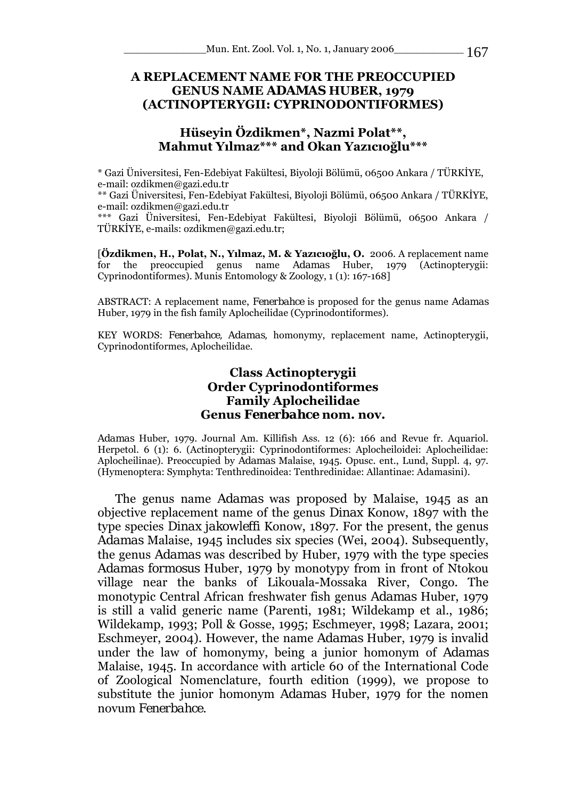## **A REPLACEMENT NAME FOR THE PREOCCUPIED GENUS NAME** *ADAMAS* **HUBER, 1979 (ACTINOPTERYGII: CYPRINODONTIFORMES)**

## **Hüseyin Özdikmen\*, Nazmi Polat\*\*, Mahmut Yılmaz\*\*\* and Okan Yazıcıoğlu\*\*\***

\* Gazi Üniversitesi, Fen-Edebiyat Fakültesi, Biyoloji Bölümü, 06500 Ankara / TÜRKİYE, e-mail: ozdikmen@gazi.edu.tr

\*\* Gazi Üniversitesi, Fen-Edebiyat Fakültesi, Biyoloji Bölümü, 06500 Ankara / TÜRKİYE, e-mail: ozdikmen@gazi.edu.tr

\*\*\* Gazi Üniversitesi, Fen-Edebiyat Fakültesi, Biyoloji Bölümü, 06500 Ankara / TÜRKİYE, e-mails: ozdikmen@gazi.edu.tr;

[**Özdikmen, H., Polat, N., Yılmaz, M. & Yazıcıoğlu, O.** 2006. A replacement name for the preoccupied genus name *Adamas* Huber, 1979 (Actinopterygii: Cyprinodontiformes). Munis Entomology & Zoology, 1 (1): 167-168]

ABSTRACT: A replacement name, *Fenerbahce* is proposed for the genus name *Adamas*  Huber, 1979 in the fish family Aplocheilidae (Cyprinodontiformes).

KEY WORDS: *Fenerbahce, Adamas,* homonymy, replacement name, Actinopterygii, Cyprinodontiformes, Aplocheilidae.

## **Class Actinopterygii Order Cyprinodontiformes Family Aplocheilidae Genus** *Fenerbahce* **nom. nov.**

*Adamas* Huber, 1979. Journal Am. Killifish Ass. 12 (6): 166 and Revue fr. Aquariol. Herpetol. 6 (1): 6. (Actinopterygii: Cyprinodontiformes: Aplocheiloidei: Aplocheilidae: Aplocheilinae). Preoccupied by *Adamas* Malaise, 1945. Opusc. ent., Lund, Suppl. 4, 97. (Hymenoptera: Symphyta: Tenthredinoidea: Tenthredinidae: Allantinae: Adamasini).

The genus name *Adamas* was proposed by Malaise, 1945 as an objective replacement name of the genus *Dinax* Konow, 1897 with the type species *Dinax jakowleffi* Konow, 1897. For the present, the genus *Adamas* Malaise, 1945 includes six species (Wei, 2004). Subsequently, the genus *Adamas* was described by Huber, 1979 with the type species *Adamas formosus* Huber, 1979 by monotypy from in front of Ntokou village near the banks of Likouala-Mossaka River, Congo. The monotypic Central African freshwater fish genus *Adamas* Huber, 1979 is still a valid generic name (Parenti, 1981; Wildekamp et al., 1986; Wildekamp, 1993; Poll & Gosse, 1995; Eschmeyer, 1998; Lazara, 2001; Eschmeyer, 2004). However, the name *Adamas* Huber, 1979 is invalid under the law of homonymy, being a junior homonym of *Adamas*  Malaise, 1945. In accordance with article 60 of the International Code of Zoological Nomenclature, fourth edition (1999), we propose to substitute the junior homonym *Adamas* Huber, 1979 for the nomen novum *Fenerbahce.*